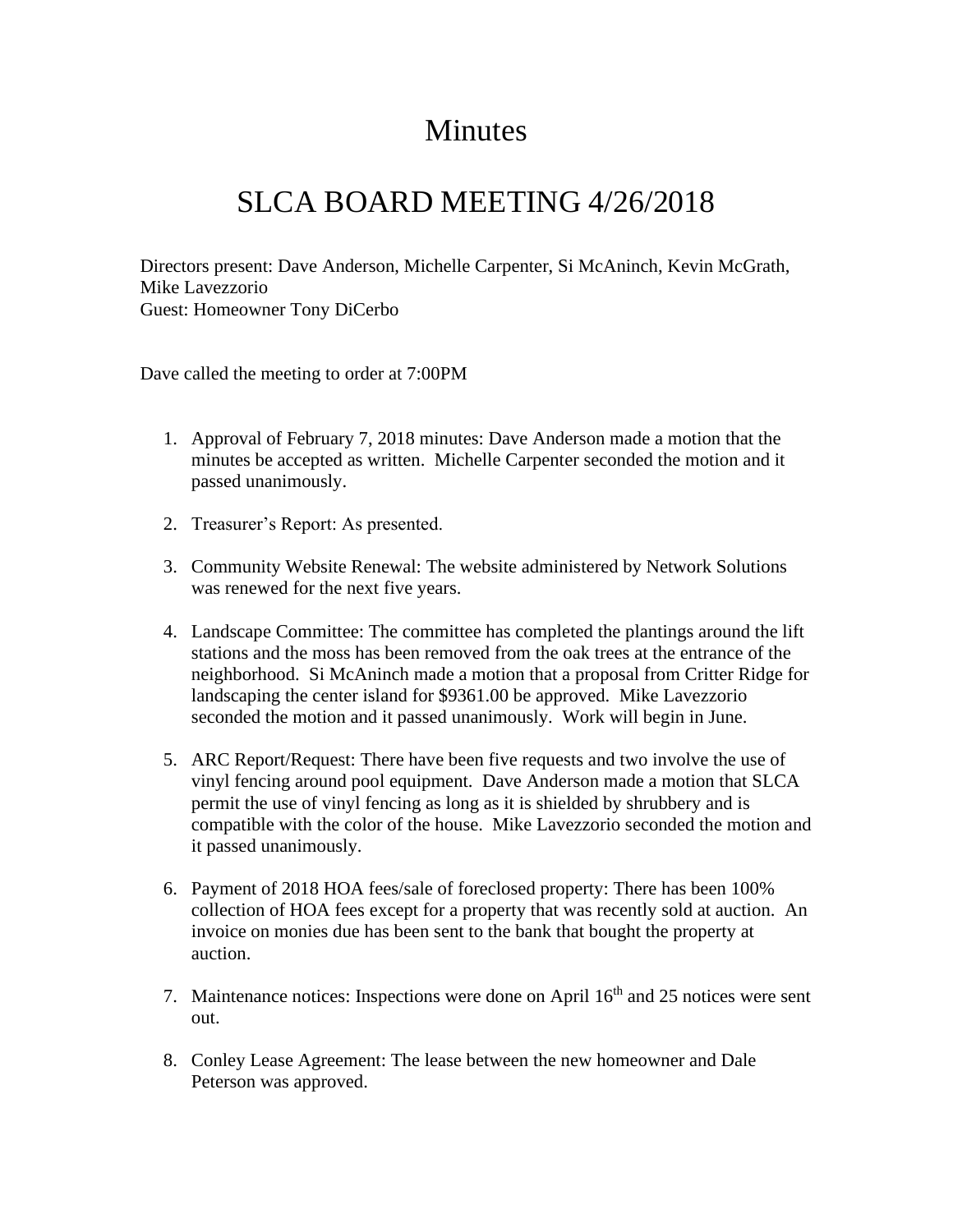## **Minutes**

## SLCA BOARD MEETING 4/26/2018

Directors present: Dave Anderson, Michelle Carpenter, Si McAninch, Kevin McGrath, Mike Lavezzorio Guest: Homeowner Tony DiCerbo

Dave called the meeting to order at 7:00PM

- 1. Approval of February 7, 2018 minutes: Dave Anderson made a motion that the minutes be accepted as written. Michelle Carpenter seconded the motion and it passed unanimously.
- 2. Treasurer's Report: As presented.
- 3. Community Website Renewal: The website administered by Network Solutions was renewed for the next five years.
- 4. Landscape Committee: The committee has completed the plantings around the lift stations and the moss has been removed from the oak trees at the entrance of the neighborhood. Si McAninch made a motion that a proposal from Critter Ridge for landscaping the center island for \$9361.00 be approved. Mike Lavezzorio seconded the motion and it passed unanimously. Work will begin in June.
- 5. ARC Report/Request: There have been five requests and two involve the use of vinyl fencing around pool equipment. Dave Anderson made a motion that SLCA permit the use of vinyl fencing as long as it is shielded by shrubbery and is compatible with the color of the house. Mike Lavezzorio seconded the motion and it passed unanimously.
- 6. Payment of 2018 HOA fees/sale of foreclosed property: There has been 100% collection of HOA fees except for a property that was recently sold at auction. An invoice on monies due has been sent to the bank that bought the property at auction.
- 7. Maintenance notices: Inspections were done on April 16<sup>th</sup> and 25 notices were sent out.
- 8. Conley Lease Agreement: The lease between the new homeowner and Dale Peterson was approved.